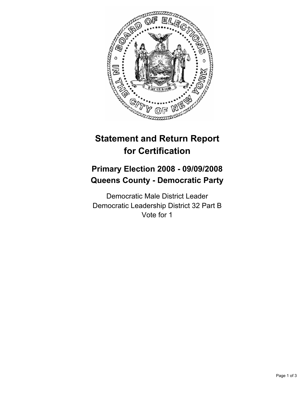

# **Statement and Return Report for Certification**

# **Primary Election 2008 - 09/09/2008 Queens County - Democratic Party**

Democratic Male District Leader Democratic Leadership District 32 Part B Vote for 1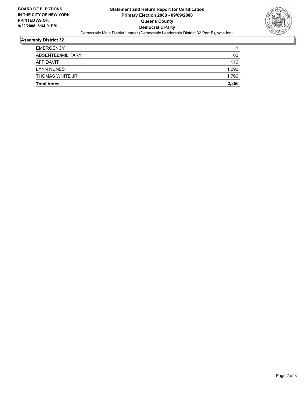

#### **Assembly District 32**

| <b>Total Votes</b> | 2,856 |
|--------------------|-------|
| THOMAS WHITE JR.   | 1,766 |
| LYNN NUNES         | 1,090 |
| AFFIDAVIT          | 110   |
| ABSENTEE/MILITARY  | 60    |
| <b>EMERGENCY</b>   |       |